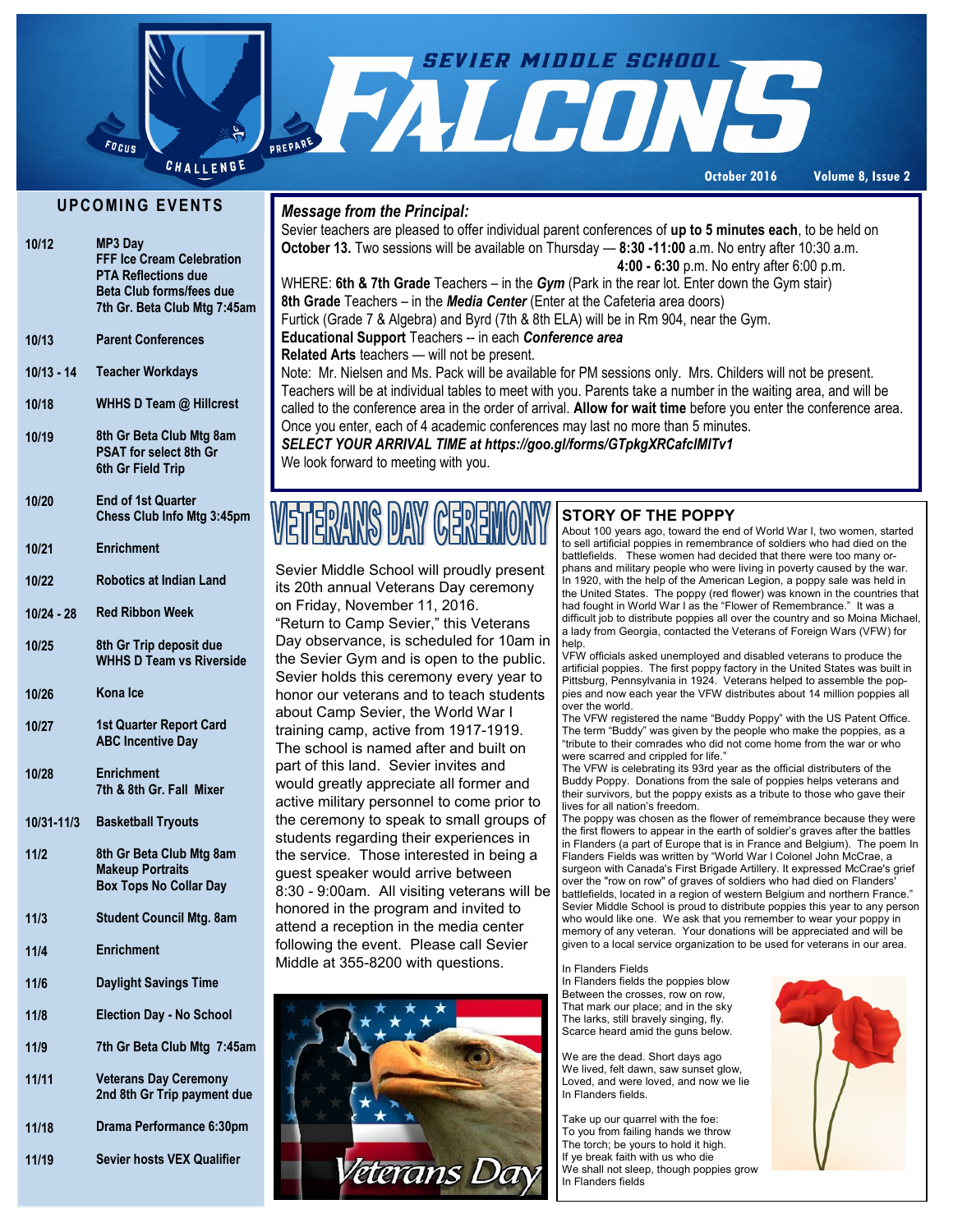

**October 2016 Volume 8, Issue 2**

### **U P C O MI N G E V E N T S**

| 10/12      | MP3 Day<br><b>FFF Ice Cream Celebration</b><br><b>PTA Reflections due</b><br><b>Beta Club forms/fees due</b><br>7th Gr. Beta Club Mtg 7:45am |
|------------|----------------------------------------------------------------------------------------------------------------------------------------------|
| 10/13      | <b>Parent Conferences</b>                                                                                                                    |
| 10/13 - 14 | <b>Teacher Workdays</b>                                                                                                                      |
| 10/18      | WHHS D Team @ Hillcrest                                                                                                                      |
| 10/19      | 8th Gr Beta Club Mtg 8am<br>PSAT for select 8th Gr<br>6th Gr Field Trip                                                                      |
| 10/20      | <b>End of 1st Quarter</b><br>Chess Club Info Mtg 3:45pm                                                                                      |
| 10/21      | <b>Enrichment</b>                                                                                                                            |
| 10/22      | <b>Robotics at Indian Land</b>                                                                                                               |
| 10/24 - 28 | <b>Red Ribbon Week</b>                                                                                                                       |
| 10/25      | 8th Gr Trip deposit due<br><b>WHHS D Team vs Riverside</b>                                                                                   |
| 10/26      | Kona Ice                                                                                                                                     |
| 10/27      | <b>1st Quarter Report Card</b><br><b>ABC Incentive Day</b>                                                                                   |
| 10/28      | <b>Enrichment</b><br>7th & 8th Gr. Fall Mixer                                                                                                |
| 10/31-11/3 | <b>Basketball Tryouts</b>                                                                                                                    |
| 11/2       | 8th Gr Beta Club Mtg 8am<br><b>Makeup Portraits</b><br><b>Box Tops No Collar Day</b>                                                         |
| 11/3       | <b>Student Council Mtg. 8am</b>                                                                                                              |
| 11/4       | <b>Enrichment</b>                                                                                                                            |
| 11/6       | <b>Daylight Savings Time</b>                                                                                                                 |
| 11/8       | <b>Election Day - No School</b>                                                                                                              |
| 11/9       | 7th Gr Beta Club Mtg 7:45am                                                                                                                  |
| 11/11      | <b>Veterans Day Ceremony</b><br>2nd 8th Gr Trip payment due                                                                                  |
| 11/18      | Drama Performance 6:30pm                                                                                                                     |
|            |                                                                                                                                              |

**Sevier hosts VEX Qualifier**

**11/19**

### *Message from the Principal:*

Sevier teachers are pleased to offer individual parent conferences of **up to 5 minutes each**, to be held on **October 13.** Two sessions will be available on Thursday — **8:30 -11:00** a.m. No entry after 10:30 a.m. **4:00 - 6:30** p.m. No entry after 6:00 p.m. WHERE: **6th & 7th Grade** Teachers – in the *Gym* (Park in the rear lot. Enter down the Gym stair) **8th Grade** Teachers – in the *Media Center* (Enter at the Cafeteria area doors) Furtick (Grade 7 & Algebra) and Byrd (7th & 8th ELA) will be in Rm 904, near the Gym. **Educational Support** Teachers -- in each *Conference area*  **Related Arts** teachers — will not be present. Note: Mr. Nielsen and Ms. Pack will be available for PM sessions only. Mrs. Childers will not be present. Teachers will be at individual tables to meet with you. Parents take a number in the waiting area, and will be called to the conference area in the order of arrival. **Allow for wait time** before you enter the conference area. Once you enter, each of 4 academic conferences may last no more than 5 minutes. *SELECT YOUR ARRIVAL TIME at https://goo.gl/forms/GTpkgXRCafclMlTv1* 

We look forward to meeting with you.

## WETERANS DAY GEREN

Sevier Middle School will proudly present its 20th annual Veterans Day ceremony on Friday, November 11, 2016. "Return to Camp Sevier," this Veterans Day observance, is scheduled for 10am in the Sevier Gym and is open to the public. Sevier holds this ceremony every year to honor our veterans and to teach students about Camp Sevier, the World War I training camp, active from 1917-1919. The school is named after and built on part of this land. Sevier invites and would greatly appreciate all former and active military personnel to come prior to the ceremony to speak to small groups of students regarding their experiences in the service. Those interested in being a guest speaker would arrive between 8:30 - 9:00am. All visiting veterans will be honored in the program and invited to attend a reception in the media center following the event. Please call Sevier Middle at 355-8200 with questions.



### **STORY OF THE POPPY**

About 100 years ago, toward the end of World War I, two women, started to sell artificial poppies in remembrance of soldiers who had died on the battlefields. These women had decided that there were too many orphans and military people who were living in poverty caused by the war. In 1920, with the help of the American Legion, a poppy sale was held in the United States. The poppy (red flower) was known in the countries that had fought in World War I as the "Flower of Remembrance." It was a difficult job to distribute poppies all over the country and so Moina Michael, a lady from Georgia, contacted the Veterans of Foreign Wars (VFW) for help.

VFW officials asked unemployed and disabled veterans to produce the artificial poppies. The first poppy factory in the United States was built in Pittsburg, Pennsylvania in 1924. Veterans helped to assemble the poppies and now each year the VFW distributes about 14 million poppies all over the world.

The VFW registered the name "Buddy Poppy" with the US Patent Office. The term "Buddy" was given by the people who make the poppies, as a "tribute to their comrades who did not come home from the war or who were scarred and crippled for life.

The VFW is celebrating its 93rd year as the official distributers of the Buddy Poppy. Donations from the sale of poppies helps veterans and their survivors, but the poppy exists as a tribute to those who gave their lives for all nation's freedom.

The poppy was chosen as the flower of remembrance because they were the first flowers to appear in the earth of soldier's graves after the battles in Flanders (a part of Europe that is in France and Belgium). The poem In Flanders Fields was written by "World War I Colonel John McCrae, a surgeon with Canada's First Brigade Artillery. It expressed McCrae's grief over the "row on row" of graves of soldiers who had died on Flanders' battlefields, located in a region of western Belgium and northern France.' Sevier Middle School is proud to distribute poppies this year to any person who would like one. We ask that you remember to wear your poppy in memory of any veteran. Your donations will be appreciated and will be given to a local service organization to be used for veterans in our area.

#### In Flanders Fields

In Flanders fields the poppies blow Between the crosses, row on row, That mark our place; and in the sky The larks, still bravely singing, fly. Scarce heard amid the guns below.

We are the dead. Short days ago We lived, felt dawn, saw sunset glow, Loved, and were loved, and now we lie In Flanders fields.

Take up our quarrel with the foe: To you from failing hands we throw The torch; be yours to hold it high. If ye break faith with us who die We shall not sleep, though poppies grow In Flanders fields

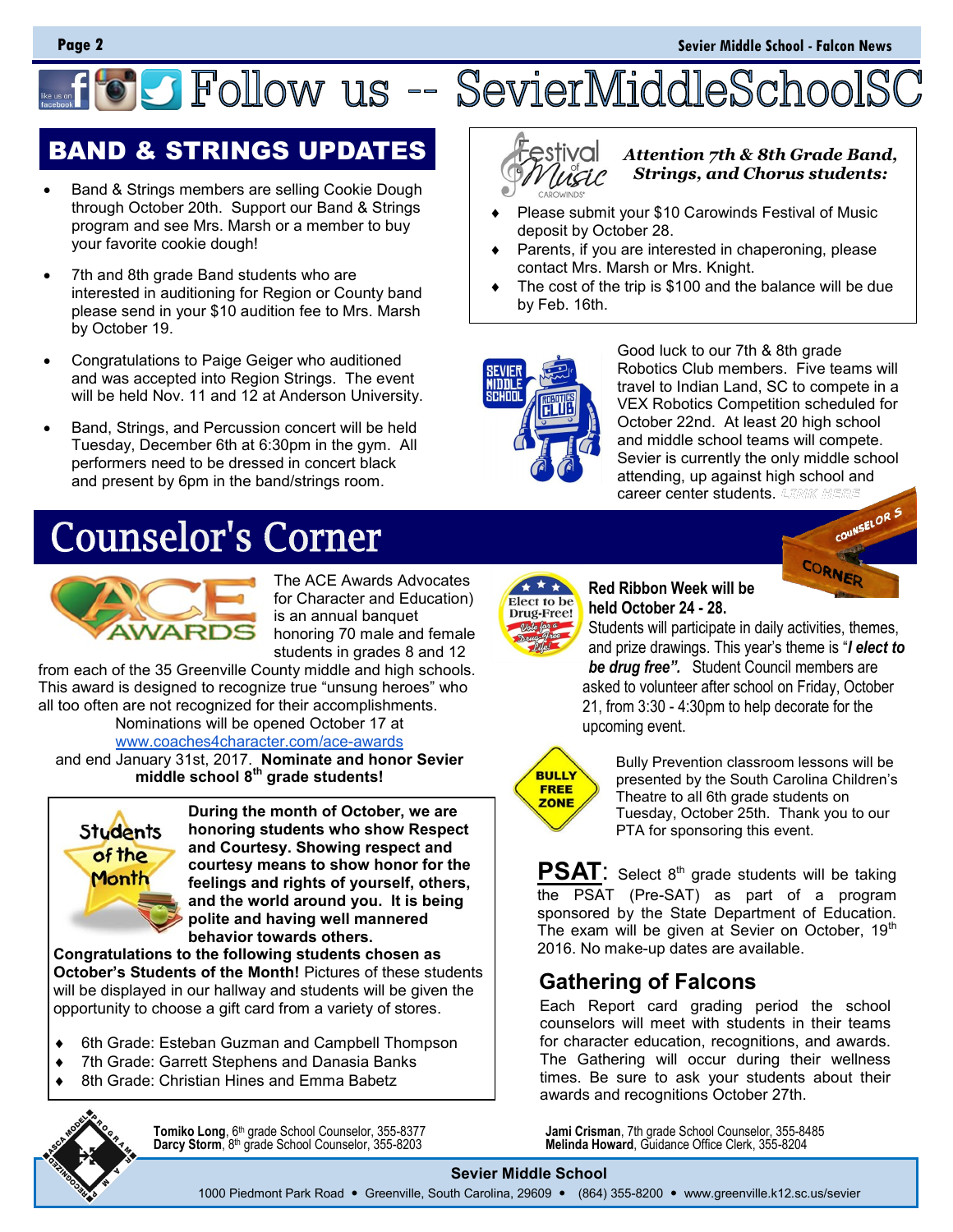# **OC Follow us -- SevierMiddleSchoo**

## BAND & STRINGS UPDATES

- Band & Strings members are selling Cookie Dough through October 20th. Support our Band & Strings program and see Mrs. Marsh or a member to buy your favorite cookie dough!
- 7th and 8th grade Band students who are interested in auditioning for Region or County band please send in your \$10 audition fee to Mrs. Marsh by October 19.
- Congratulations to Paige Geiger who auditioned and was accepted into Region Strings. The event will be held Nov. 11 and 12 at Anderson University.
- Band, Strings, and Percussion concert will be held Tuesday, December 6th at 6:30pm in the gym. All performers need to be dressed in concert black and present by 6pm in the band/strings room.

## **Counselor's Corner**



The ACE Awards Advocates for Character and Education) is an annual banquet honoring 70 male and female students in grades 8 and 12

from each of the 35 Greenville County middle and high schools. This award is designed to recognize true "unsung heroes" who all too often are not recognized for their accomplishments.

Nominations will be opened October 17 at [www.coaches4character.com/ace](http://www.coaches4character.com/ace-awards)-awards

and end January 31st, 2017. **Nominate and honor Sevier middle school 8th grade students!**



**During the month of October, we are honoring students who show Respect and Courtesy. Showing respect and courtesy means to show honor for the feelings and rights of yourself, others, and the world around you. It is being polite and having well mannered behavior towards others.** 

**Congratulations to the following students chosen as October's Students of the Month!** Pictures of these students will be displayed in our hallway and students will be given the opportunity to choose a gift card from a variety of stores.

- 6th Grade: Esteban Guzman and Campbell Thompson
- ◆ 7th Grade: Garrett Stephens and Danasia Banks
- 8th Grade: Christian Hines and Emma Babetz



**Tomiko Long**, 6 **Darcy Storm**, 8th grade School Counselor, 355-8203 **Melinda Howard**, Guidance Office Clerk, 355-8204

estival

*Attention 7th & 8th Grade Band, Strings, and Chorus students:* 

- Please submit your \$10 Carowinds Festival of Music deposit by October 28.
- Parents, if you are interested in chaperoning, please contact Mrs. Marsh or Mrs. Knight.
- The cost of the trip is \$100 and the balance will be due by Feb. 16th.



Good luck to our 7th & 8th grade Robotics Club members. Five teams will travel to Indian Land, SC to compete in a VEX Robotics Competition scheduled for October 22nd. At least 20 high school and middle school teams will compete. Sevier is currently the only middle school attending, up against high school and career center students.



Elect to be Drug-Free!

**Red Ribbon Week will be held October 24 - 28.** 

Students will participate in daily activities, themes, and prize drawings. This year's theme is "*I elect to be drug free".* Student Council members are asked to volunteer after school on Friday, October 21, from 3:30 - 4:30pm to help decorate for the upcoming event.



Bully Prevention classroom lessons will be presented by the South Carolina Children's Theatre to all 6th grade students on Tuesday, October 25th. Thank you to our PTA for sponsoring this event.

**PSAT**: Select 8<sup>th</sup> grade students will be taking the PSAT (Pre-SAT) as part of a program sponsored by the State Department of Education. The exam will be given at Sevier on October,  $19<sup>th</sup>$ 2016. No make-up dates are available.

### **Gathering of Falcons**

Each Report card grading period the school counselors will meet with students in their teams for character education, recognitions, and awards. The Gathering will occur during their wellness times. Be sure to ask your students about their awards and recognitions October 27th.

Jami Crisman, 7th grade School Counselor, 355-8485<br>Melinda Howard, Guidance Office Clerk, 355-8204